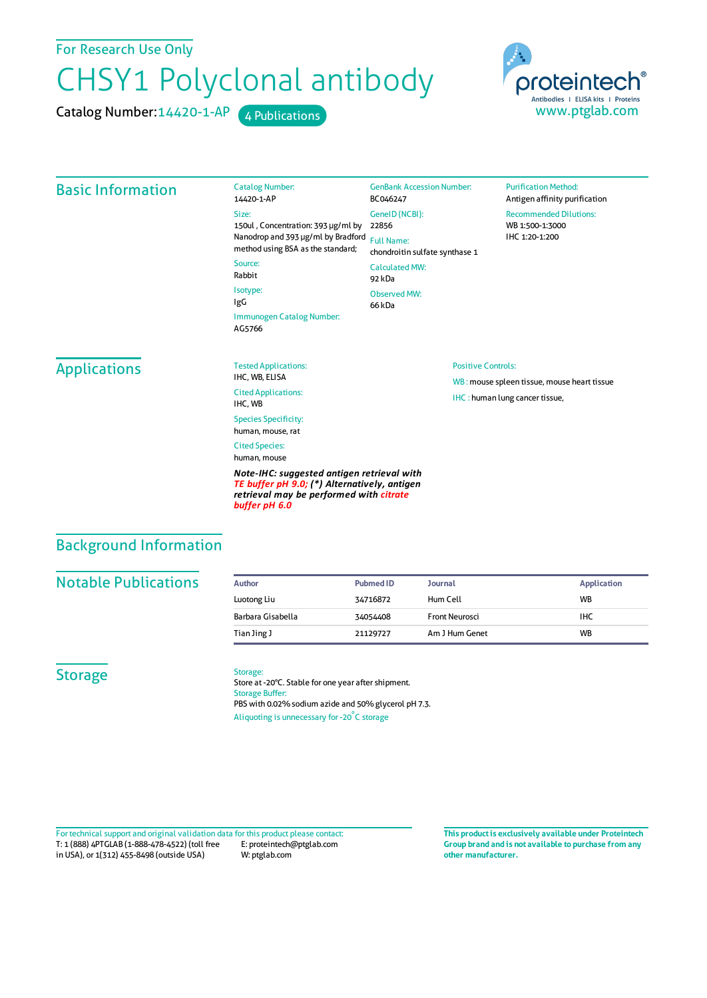For Research Use Only

# CHSY1 Polyclonal antibody

Catalog Number: 14420-1-AP 4 Publications



### Basic Information

14420-1-AP Size: 150ul , Concentration: 393 μg/ml by 22856 Nanodrop and 393 μg/ml by Bradford Full Name: method using BSA as the standard; Source: BC046247

Rabbit Isotype: IgG Immunogen Catalog Number: AG5766

Catalog Number:

GeneID(NCBI): chondroitin sulfate synthase 1 CalculatedMW: 92 kDa Observed MW: 66 kDa

GenBank Accession Number:

#### **Purification Method:** Antigen affinity purification Recommended Dilutions: WB 1:500-1:3000 IHC 1:20-1:200

# Applications

IHC, WB, ELISA Cited Applications: IHC, WB Species Specificity: human, mouse, rat

Tested Applications:

Cited Species: human, mouse

*Note-IHC: suggested antigen retrieval with TE buffer pH 9.0; (\*) Alternatively, antigen retrieval may be performed with citrate buffer pH 6.0*

#### Positive Controls:

WB : mouse spleen tissue, mouse heart tissue IHC : human lung cancer tissue,

## Background Information

## **Notable Publications**

| Author            | <b>Pubmed ID</b> | <b>Journal</b>        | <b>Application</b> |
|-------------------|------------------|-----------------------|--------------------|
| Luotong Liu       | 34716872         | Hum Cell              | <b>WB</b>          |
| Barbara Gisabella | 34054408         | <b>Front Neurosci</b> | IHC                |
| Tian Jing J       | 21129727         | Am J Hum Genet        | <b>WB</b>          |

#### **Storage**

#### Storage:

Store at -20°C. Stable for one year after shipment. Storage Buffer: PBS with 0.02% sodium azide and 50% glycerol pH 7.3. Aliquoting is unnecessary for -20<sup>°</sup>C storage

T: 1 (888) 4PTGLAB (1-888-478-4522) (toll free in USA), or 1(312) 455-8498 (outside USA) E: proteintech@ptglab.com W: ptglab.com Fortechnical support and original validation data forthis product please contact: **This productis exclusively available under Proteintech**

**Group brand and is not available to purchase from any other manufacturer.**